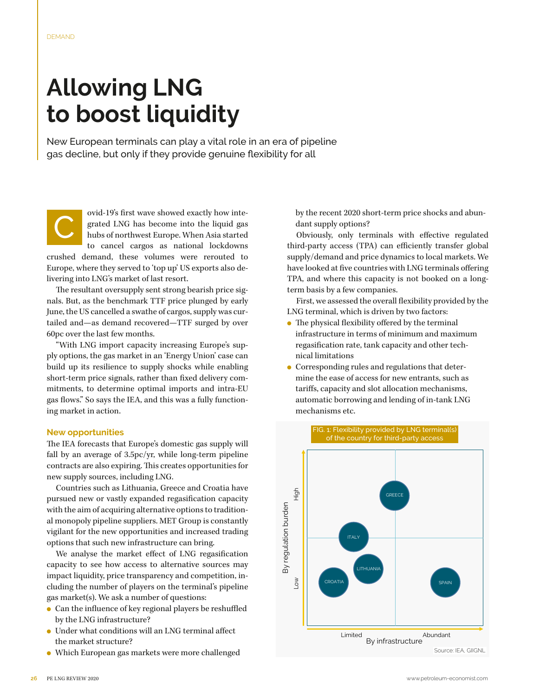## **Allowing LNG to boost liquidity**

New European terminals can play a vital role in an era of pipeline gas decline, but only if they provide genuine flexibility for all

ovid-19's first wave showed exactly how integrated LNG has become into the liquid gas hubs of northwest Europe. When Asia started grated LNG has become into the liquid gas to cancel cargos as national lockdowns crushed demand, these volumes were rerouted to Europe, where they served to 'top up' US exports also delivering into LNG's market of last resort.

The resultant oversupply sent strong bearish price signals. But, as the benchmark TTF price plunged by early June, the US cancelled a swathe of cargos, supply was curtailed and—as demand recovered—TTF surged by over 60pc over the last few months.

"With LNG import capacity increasing Europe's supply options, the gas market in an 'Energy Union' case can build up its resilience to supply shocks while enabling short-term price signals, rather than fixed delivery commitments, to determine optimal imports and intra-EU gas flows." So says the IEA, and this was a fully functioning market in action.

## **New opportunities**

The IEA forecasts that Europe's domestic gas supply will fall by an average of 3.5pc/yr, while long-term pipeline contracts are also expiring. This creates opportunities for new supply sources, including LNG.

Countries such as Lithuania, Greece and Croatia have pursued new or vastly expanded regasification capacity with the aim of acquiring alternative options to traditional monopoly pipeline suppliers. MET Group is constantly vigilant for the new opportunities and increased trading options that such new infrastructure can bring.

We analyse the market effect of LNG regasification capacity to see how access to alternative sources may impact liquidity, price transparency and competition, including the number of players on the terminal's pipeline gas market(s). We ask a number of questions:

- Can the influence of key regional players be reshuffled by the LNG infrastructure?
- Under what conditions will an LNG terminal affect the market structure?
- Which European gas markets were more challenged

by the recent 2020 short-term price shocks and abundant supply options?

Obviously, only terminals with effective regulated third-party access (TPA) can efficiently transfer global supply/demand and price dynamics to local markets. We have looked at five countries with LNG terminals offering TPA, and where this capacity is not booked on a longterm basis by a few companies.

First, we assessed the overall flexibility provided by the LNG terminal, which is driven by two factors:

- $\bullet$  The physical flexibility offered by the terminal infrastructure in terms of minimum and maximum regasification rate, tank capacity and other technical limitations
- Corresponding rules and regulations that determine the ease of access for new entrants, such as tariffs, capacity and slot allocation mechanisms, automatic borrowing and lending of in-tank LNG mechanisms etc.